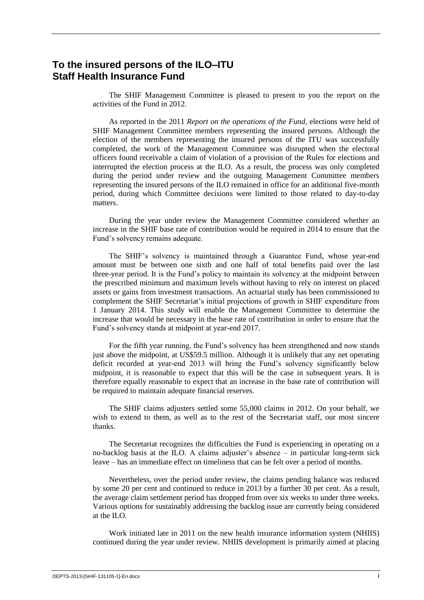# **To the insured persons of the ILO–ITU Staff Health Insurance Fund**

The SHIF Management Committee is pleased to present to you the report on the activities of the Fund in 2012.

As reported in the 2011 *Report on the operations of the Fund*, elections were held of SHIF Management Committee members representing the insured persons. Although the election of the members representing the insured persons of the ITU was successfully completed, the work of the Management Committee was disrupted when the electoral officers found receivable a claim of violation of a provision of the Rules for elections and interrupted the election process at the ILO. As a result, the process was only completed during the period under review and the outgoing Management Committee members representing the insured persons of the ILO remained in office for an additional five-month period, during which Committee decisions were limited to those related to day-to-day matters.

During the year under review the Management Committee considered whether an increase in the SHIF base rate of contribution would be required in 2014 to ensure that the Fund's solvency remains adequate.

The SHIF's solvency is maintained through a Guarantee Fund, whose year-end amount must be between one sixth and one half of total benefits paid over the last three-year period. It is the Fund's policy to maintain its solvency at the midpoint between the prescribed minimum and maximum levels without having to rely on interest on placed assets or gains from investment transactions. An actuarial study has been commissioned to complement the SHIF Secretariat's initial projections of growth in SHIF expenditure from 1 January 2014. This study will enable the Management Committee to determine the increase that would be necessary in the base rate of contribution in order to ensure that the Fund's solvency stands at midpoint at year-end 2017.

For the fifth year running, the Fund's solvency has been strengthened and now stands just above the midpoint, at US\$59.5 million. Although it is unlikely that any net operating deficit recorded at year-end 2013 will bring the Fund's solvency significantly below midpoint, it is reasonable to expect that this will be the case in subsequent years. It is therefore equally reasonable to expect that an increase in the base rate of contribution will be required to maintain adequate financial reserves.

The SHIF claims adjusters settled some 55,000 claims in 2012. On your behalf, we wish to extend to them, as well as to the rest of the Secretariat staff, our most sincere thanks.

The Secretariat recognizes the difficulties the Fund is experiencing in operating on a no-backlog basis at the ILO. A claims adjuster's absence – in particular long-term sick leave – has an immediate effect on timeliness that can be felt over a period of months.

Nevertheless, over the period under review, the claims pending balance was reduced by some 20 per cent and continued to reduce in 2013 by a further 30 per cent. As a result, the average claim settlement period has dropped from over six weeks to under three weeks. Various options for sustainably addressing the backlog issue are currently being considered at the ILO.

Work initiated late in 2011 on the new health insurance information system (NHIIS) continued during the year under review. NHIIS development is primarily aimed at placing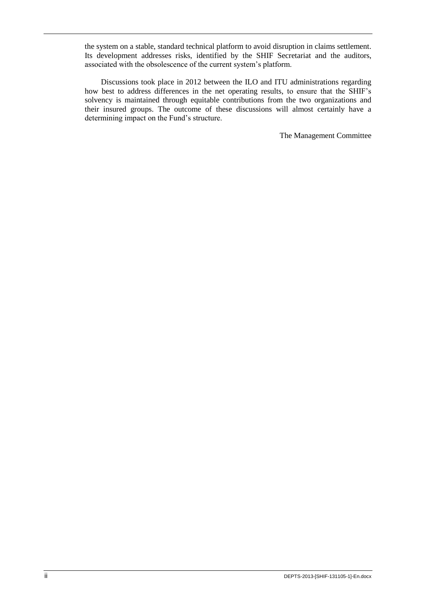the system on a stable, standard technical platform to avoid disruption in claims settlement. Its development addresses risks, identified by the SHIF Secretariat and the auditors, associated with the obsolescence of the current system's platform.

Discussions took place in 2012 between the ILO and ITU administrations regarding how best to address differences in the net operating results, to ensure that the SHIF's solvency is maintained through equitable contributions from the two organizations and their insured groups. The outcome of these discussions will almost certainly have a determining impact on the Fund's structure.

The Management Committee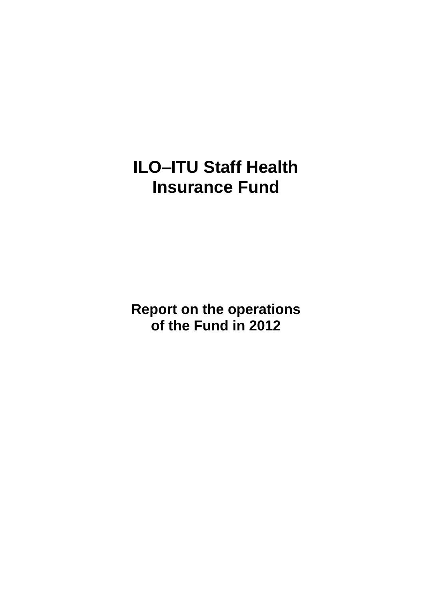# **ILO–ITU Staff Health Insurance Fund**

**Report on the operations of the Fund in 2012**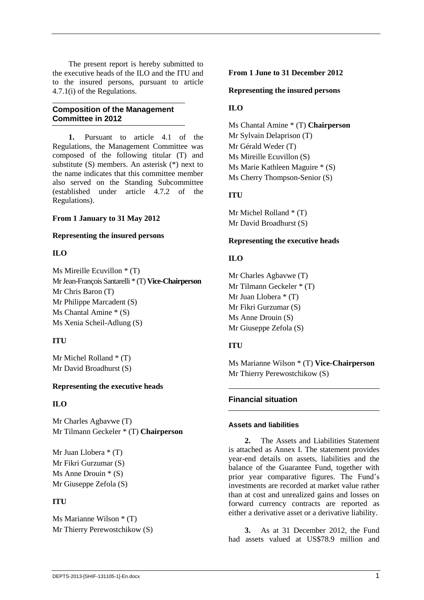The present report is hereby submitted to the executive heads of the ILO and the ITU and to the insured persons, pursuant to article 4.7.1(i) of the Regulations.

# **Composition of the Management Committee in 2012**

**1.** Pursuant to article 4.1 of the Regulations, the Management Committee was composed of the following titular (T) and substitute (S) members. An asterisk (\*) next to the name indicates that this committee member also served on the Standing Subcommittee (established under article 4.7.2 of the Regulations).

## **From 1 January to 31 May 2012**

## **Representing the insured persons**

# **ILO**

Ms Mireille Ecuvillon \* (T) MrJean-François Santarelli \* (T) **Vice-Chairperson** Mr Chris Baron (T) Mr Philippe Marcadent (S) Ms Chantal Amine \* (S) Ms Xenia Scheil-Adlung (S)

# **ITU**

Mr Michel Rolland \* (T) Mr David Broadhurst (S)

# **Representing the executive heads**

# **ILO**

Mr Charles Agbavwe (T) Mr Tilmann Geckeler \* (T) **Chairperson**

Mr Juan Llobera \* (T) Mr Fikri Gurzumar (S) Ms Anne Drouin \* (S) Mr Giuseppe Zefola (S)

# **ITU**

Ms Marianne Wilson \* (T) Mr Thierry Perewostchikow (S)

## **From 1 June to 31 December 2012**

**Representing the insured persons**

# **ILO**

Ms Chantal Amine \* (T) **Chairperson** Mr Sylvain Delaprison (T) Mr Gérald Weder (T) Ms Mireille Ecuvillon (S) Ms Marie Kathleen Maguire \* (S) Ms Cherry Thompson-Senior (S)

# **ITU**

Mr Michel Rolland \* (T) Mr David Broadhurst (S)

# **Representing the executive heads**

# **ILO**

Mr Charles Agbavwe (T) Mr Tilmann Geckeler \* (T) Mr Juan Llobera \* (T) Mr Fikri Gurzumar (S) Ms Anne Drouin (S) Mr Giuseppe Zefola (S)

# **ITU**

Ms Marianne Wilson \* (T) **Vice-Chairperson** Mr Thierry Perewostchikow (S)

# **Financial situation**

## **Assets and liabilities**

**2.** The Assets and Liabilities Statement is attached as Annex I. The statement provides year-end details on assets, liabilities and the balance of the Guarantee Fund, together with prior year comparative figures. The Fund's investments are recorded at market value rather than at cost and unrealized gains and losses on forward currency contracts are reported as either a derivative asset or a derivative liability.

**3.** As at 31 December 2012, the Fund had assets valued at US\$78.9 million and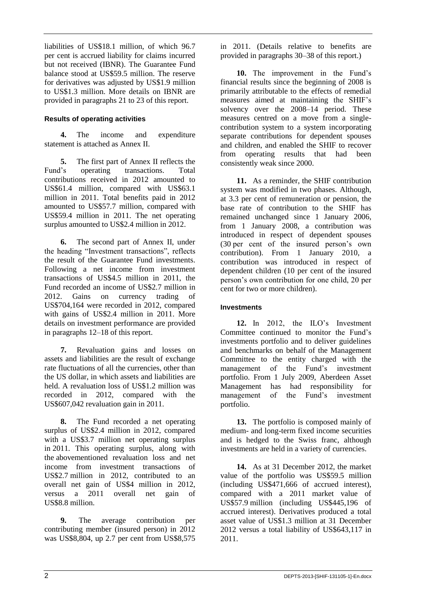liabilities of US\$18.1 million, of which 96.7 per cent is accrued liability for claims incurred but not received (IBNR). The Guarantee Fund balance stood at US\$59.5 million. The reserve for derivatives was adjusted by US\$1.9 million to US\$1.3 million. More details on IBNR are provided in paragraphs 21 to 23 of this report.

# **Results of operating activities**

**4.** The income and expenditure statement is attached as Annex II.

**5.** The first part of Annex II reflects the Fund's operating transactions. Total contributions received in 2012 amounted to US\$61.4 million, compared with US\$63.1 million in 2011. Total benefits paid in 2012 amounted to US\$57.7 million, compared with US\$59.4 million in 2011. The net operating surplus amounted to US\$2.4 million in 2012.

**6.** The second part of Annex II, under the heading "Investment transactions", reflects the result of the Guarantee Fund investments. Following a net income from investment transactions of US\$4.5 million in 2011, the Fund recorded an income of US\$2.7 million in 2012. Gains on currency trading of US\$704,164 were recorded in 2012, compared with gains of US\$2.4 million in 2011. More details on investment performance are provided in paragraphs 12–18 of this report.

**7.** Revaluation gains and losses on assets and liabilities are the result of exchange rate fluctuations of all the currencies, other than the US dollar, in which assets and liabilities are held. A revaluation loss of US\$1.2 million was recorded in 2012, compared with the US\$607,042 revaluation gain in 2011.

**8.** The Fund recorded a net operating surplus of US\$2.4 million in 2012, compared with a US\$3.7 million net operating surplus in 2011. This operating surplus, along with the abovementioned revaluation loss and net income from investment transactions of US\$2.7 million in 2012, contributed to an overall net gain of US\$4 million in 2012, versus a 2011 overall net gain of US\$8.8 million.

**9.** The average contribution per contributing member (insured person) in 2012 was US\$8,804, up 2.7 per cent from US\$8,575 in 2011. (Details relative to benefits are provided in paragraphs 30–38 of this report.)

**10.** The improvement in the Fund's financial results since the beginning of 2008 is primarily attributable to the effects of remedial measures aimed at maintaining the SHIF's solvency over the 2008–14 period. These measures centred on a move from a singlecontribution system to a system incorporating separate contributions for dependent spouses and children, and enabled the SHIF to recover from operating results that had been consistently weak since 2000.

**11.** As a reminder, the SHIF contribution system was modified in two phases. Although, at 3.3 per cent of remuneration or pension, the base rate of contribution to the SHIF has remained unchanged since 1 January 2006, from 1 January 2008, a contribution was introduced in respect of dependent spouses (30 per cent of the insured person's own contribution). From 1 January 2010, a contribution was introduced in respect of dependent children (10 per cent of the insured person's own contribution for one child, 20 per cent for two or more children).

# **Investments**

**12.** In 2012, the ILO's Investment Committee continued to monitor the Fund's investments portfolio and to deliver guidelines and benchmarks on behalf of the Management Committee to the entity charged with the management of the Fund's investment portfolio. From 1 July 2009, Aberdeen Asset Management has had responsibility for management of the Fund's investment portfolio.

**13.** The portfolio is composed mainly of medium- and long-term fixed income securities and is hedged to the Swiss franc, although investments are held in a variety of currencies.

**14.** As at 31 December 2012, the market value of the portfolio was US\$59.5 million (including US\$471,666 of accrued interest), compared with a 2011 market value of US\$57.9 million (including US\$445,196 of accrued interest). Derivatives produced a total asset value of US\$1.3 million at 31 December 2012 versus a total liability of US\$643,117 in 2011.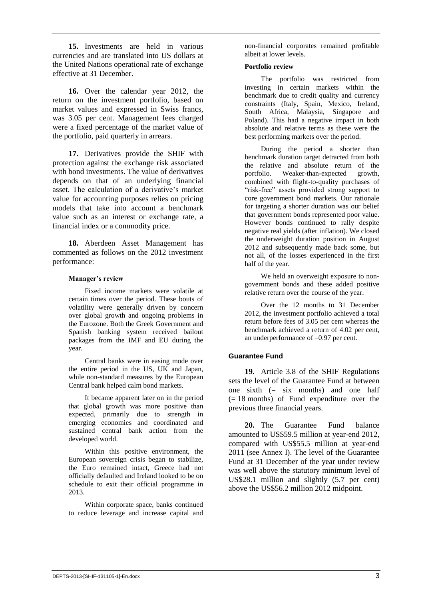**15.** Investments are held in various currencies and are translated into US dollars at the United Nations operational rate of exchange effective at 31 December.

**16.** Over the calendar year 2012, the return on the investment portfolio, based on market values and expressed in Swiss francs, was 3.05 per cent. Management fees charged were a fixed percentage of the market value of the portfolio, paid quarterly in arrears.

**17.** Derivatives provide the SHIF with protection against the exchange risk associated with bond investments. The value of derivatives depends on that of an underlying financial asset. The calculation of a derivative's market value for accounting purposes relies on pricing models that take into account a benchmark value such as an interest or exchange rate, a financial index or a commodity price.

**18.** Aberdeen Asset Management has commented as follows on the 2012 investment performance:

#### **Manager's review**

Fixed income markets were volatile at certain times over the period. These bouts of volatility were generally driven by concern over global growth and ongoing problems in the Eurozone. Both the Greek Government and Spanish banking system received bailout packages from the IMF and EU during the year.

Central banks were in easing mode over the entire period in the US, UK and Japan, while non-standard measures by the European Central bank helped calm bond markets.

It became apparent later on in the period that global growth was more positive than expected, primarily due to strength in emerging economies and coordinated and sustained central bank action from the developed world.

Within this positive environment, the European sovereign crisis began to stabilize, the Euro remained intact, Greece had not officially defaulted and Ireland looked to be on schedule to exit their official programme in 2013.

Within corporate space, banks continued to reduce leverage and increase capital and

non-financial corporates remained profitable albeit at lower levels.

#### **Portfolio review**

The portfolio was restricted from investing in certain markets within the benchmark due to credit quality and currency constraints (Italy, Spain, Mexico, Ireland, South Africa, Malaysia, Singapore and Poland). This had a negative impact in both absolute and relative terms as these were the best performing markets over the period.

During the period a shorter than benchmark duration target detracted from both the relative and absolute return of the portfolio. Weaker-than-expected growth, combined with flight-to-quality purchases of "risk-free" assets provided strong support to core government bond markets. Our rationale for targeting a shorter duration was our belief that government bonds represented poor value. However bonds continued to rally despite negative real yields (after inflation). We closed the underweight duration position in August 2012 and subsequently made back some, but not all, of the losses experienced in the first half of the year.

We held an overweight exposure to nongovernment bonds and these added positive relative return over the course of the year.

Over the 12 months to 31 December 2012, the investment portfolio achieved a total return before fees of 3.05 per cent whereas the benchmark achieved a return of 4.02 per cent, an underperformance of –0.97 per cent.

## **Guarantee Fund**

**19.** Article 3.8 of the SHIF Regulations sets the level of the Guarantee Fund at between one sixth  $(=$  six months) and one half (= 18 months) of Fund expenditure over the previous three financial years.

**20.** The Guarantee Fund balance amounted to US\$59.5 million at year-end 2012, compared with US\$55.5 million at year-end 2011 (see Annex I). The level of the Guarantee Fund at 31 December of the year under review was well above the statutory minimum level of US\$28.1 million and slightly (5.7 per cent) above the US\$56.2 million 2012 midpoint.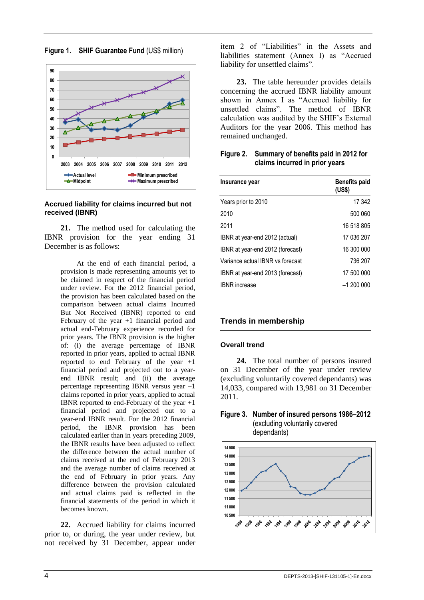

**Figure 1. SHIF Guarantee Fund** (US\$ million)

#### **Accrued liability for claims incurred but not received (IBNR)**

**21.** The method used for calculating the IBNR provision for the year ending 31 December is as follows:

> At the end of each financial period, a provision is made representing amounts yet to be claimed in respect of the financial period under review. For the 2012 financial period, the provision has been calculated based on the comparison between actual claims Incurred But Not Received (IBNR) reported to end February of the year +1 financial period and actual end-February experience recorded for prior years. The IBNR provision is the higher of: (i) the average percentage of IBNR reported in prior years, applied to actual IBNR reported to end February of the year +1 financial period and projected out to a yearend IBNR result; and (ii) the average percentage representing IBNR versus year –1 claims reported in prior years, applied to actual IBNR reported to end-February of the year +1 financial period and projected out to a year-end IBNR result. For the 2012 financial period, the IBNR provision has been calculated earlier than in years preceding 2009, the IBNR results have been adjusted to reflect the difference between the actual number of claims received at the end of February 2013 and the average number of claims received at the end of February in prior years. Any difference between the provision calculated and actual claims paid is reflected in the financial statements of the period in which it becomes known.

**22.** Accrued liability for claims incurred prior to, or during, the year under review, but not received by 31 December, appear under item 2 of "Liabilities" in the Assets and liabilities statement (Annex I) as "Accrued liability for unsettled claims".

**23.** The table hereunder provides details concerning the accrued IBNR liability amount shown in Annex I as "Accrued liability for unsettled claims". The method of IBNR calculation was audited by the SHIF's External Auditors for the year 2006. This method has remained unchanged.

| Figure 2. Summary of benefits paid in 2012 for |
|------------------------------------------------|
| claims incurred in prior years                 |

| <b>Benefits paid</b><br>(US\$) |
|--------------------------------|
| 17 342                         |
| 500 060                        |
| 16 518 805                     |
| 17 036 207                     |
| 16 300 000                     |
| 736 207                        |
| 17 500 000                     |
| $-1200000$                     |
|                                |

## **Trends in membership**

#### **Overall trend**

**24.** The total number of persons insured on 31 December of the year under review (excluding voluntarily covered dependants) was 14,033, compared with 13,981 on 31 December 2011.

## **Figure 3. Number of insured persons 1986–2012** (excluding voluntarily covered



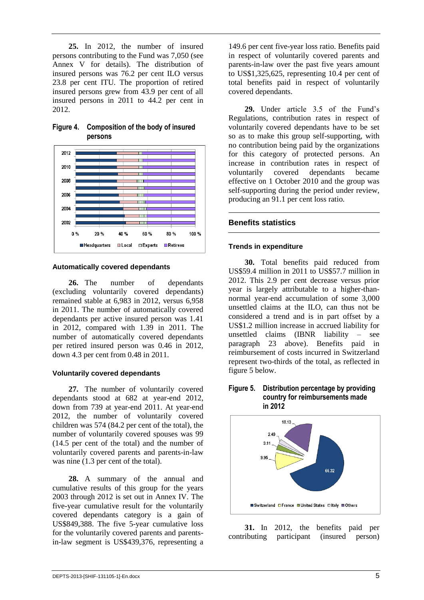**25.** In 2012, the number of insured persons contributing to the Fund was 7,050 (see Annex V for details). The distribution of insured persons was 76.2 per cent ILO versus 23.8 per cent ITU. The proportion of retired insured persons grew from 43.9 per cent of all insured persons in 2011 to 44.2 per cent in 2012.



## **Figure 4. Composition of the body of insured persons**

# **Automatically covered dependants**

**26.** The number of dependants (excluding voluntarily covered dependants) remained stable at 6,983 in 2012, versus 6,958 in 2011. The number of automatically covered dependants per active insured person was 1.41 in 2012, compared with 1.39 in 2011. The number of automatically covered dependants per retired insured person was 0.46 in 2012, down 4.3 per cent from 0.48 in 2011.

## **Voluntarily covered dependants**

**27.** The number of voluntarily covered dependants stood at 682 at year-end 2012, down from 739 at year-end 2011. At year-end 2012, the number of voluntarily covered children was 574 (84.2 per cent of the total), the number of voluntarily covered spouses was 99 (14.5 per cent of the total) and the number of voluntarily covered parents and parents-in-law was nine  $(1.3$  per cent of the total).

**28.** A summary of the annual and cumulative results of this group for the years 2003 through 2012 is set out in Annex IV. The five-year cumulative result for the voluntarily covered dependants category is a gain of US\$849,388. The five 5-year cumulative loss for the voluntarily covered parents and parentsin-law segment is US\$439,376, representing a

149.6 per cent five-year loss ratio. Benefits paid in respect of voluntarily covered parents and parents-in-law over the past five years amount to US\$1,325,625, representing 10.4 per cent of total benefits paid in respect of voluntarily covered dependants.

**29.** Under article 3.5 of the Fund's Regulations, contribution rates in respect of voluntarily covered dependants have to be set so as to make this group self-supporting, with no contribution being paid by the organizations for this category of protected persons. An increase in contribution rates in respect of voluntarily covered dependants became effective on 1 October 2010 and the group was self-supporting during the period under review, producing an 91.1 per cent loss ratio.

# **Benefits statistics**

# **Trends in expenditure**

**30.** Total benefits paid reduced from US\$59.4 million in 2011 to US\$57.7 million in 2012. This 2.9 per cent decrease versus prior year is largely attributable to a higher-thannormal year-end accumulation of some 3,000 unsettled claims at the ILO, can thus not be considered a trend and is in part offset by a US\$1.2 million increase in accrued liability for unsettled claims (IBNR liability – see paragraph 23 above). Benefits paid in reimbursement of costs incurred in Switzerland represent two-thirds of the total, as reflected in figure 5 below.

#### **Figure 5. Distribution percentage by providing country for reimbursements made in 2012**



**31.** In 2012, the benefits paid per ibuting participant (insured person) contributing participant (insured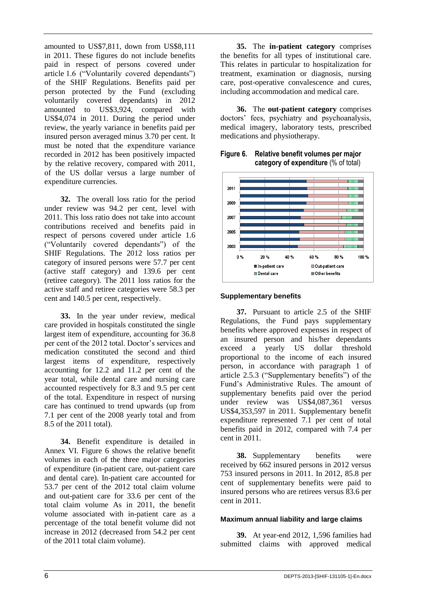amounted to US\$7,811, down from US\$8,111 in 2011. These figures do not include benefits paid in respect of persons covered under article 1.6 ("Voluntarily covered dependants") of the SHIF Regulations. Benefits paid per person protected by the Fund (excluding voluntarily covered dependants) in 2012 amounted to US\$3,924, compared with US\$4,074 in 2011. During the period under review, the yearly variance in benefits paid per insured person averaged minus 3.70 per cent. It must be noted that the expenditure variance recorded in 2012 has been positively impacted by the relative recovery, compared with 2011, of the US dollar versus a large number of expenditure currencies.

**32.** The overall loss ratio for the period under review was 94.2 per cent, level with 2011. This loss ratio does not take into account contributions received and benefits paid in respect of persons covered under article 1.6 ("Voluntarily covered dependants") of the SHIF Regulations. The 2012 loss ratios per category of insured persons were 57.7 per cent (active staff category) and 139.6 per cent (retiree category). The 2011 loss ratios for the active staff and retiree categories were 58.3 per cent and 140.5 per cent, respectively.

**33.** In the year under review, medical care provided in hospitals constituted the single largest item of expenditure, accounting for 36.8 per cent of the 2012 total. Doctor's services and medication constituted the second and third largest items of expenditure, respectively accounting for 12.2 and 11.2 per cent of the year total, while dental care and nursing care accounted respectively for 8.3 and 9.5 per cent of the total. Expenditure in respect of nursing care has continued to trend upwards (up from 7.1 per cent of the 2008 yearly total and from 8.5 of the 2011 total).

**34.** Benefit expenditure is detailed in Annex VI. Figure 6 shows the relative benefit volumes in each of the three major categories of expenditure (in-patient care, out-patient care and dental care). In-patient care accounted for 53.7 per cent of the 2012 total claim volume and out-patient care for 33.6 per cent of the total claim volume As in 2011, the benefit volume associated with in-patient care as a percentage of the total benefit volume did not increase in 2012 (decreased from 54.2 per cent of the 2011 total claim volume).

**35.** The **in-patient category** comprises the benefits for all types of institutional care. This relates in particular to hospitalization for treatment, examination or diagnosis, nursing care, post-operative convalescence and cures, including accommodation and medical care.

**36.** The **out-patient category** comprises doctors' fees, psychiatry and psychoanalysis, medical imagery, laboratory tests, prescribed medications and physiotherapy.

**Figure 6. Relative benefit volumes per major category of expenditure** (% of total)



## **Supplementary benefits**

**37.** Pursuant to article 2.5 of the SHIF Regulations, the Fund pays supplementary benefits where approved expenses in respect of an insured person and his/her dependants exceed a yearly US dollar threshold proportional to the income of each insured person, in accordance with paragraph 1 of article 2.5.3 ("Supplementary benefits") of the Fund's Administrative Rules. The amount of supplementary benefits paid over the period under review was US\$4,087,361 versus US\$4,353,597 in 2011. Supplementary benefit expenditure represented 7.1 per cent of total benefits paid in 2012, compared with 7.4 per cent in 2011.

**38.** Supplementary benefits were received by 662 insured persons in 2012 versus 753 insured persons in 2011. In 2012, 85.8 per cent of supplementary benefits were paid to insured persons who are retirees versus 83.6 per cent in 2011.

#### **Maximum annual liability and large claims**

**39.** At year-end 2012, 1,596 families had submitted claims with approved medical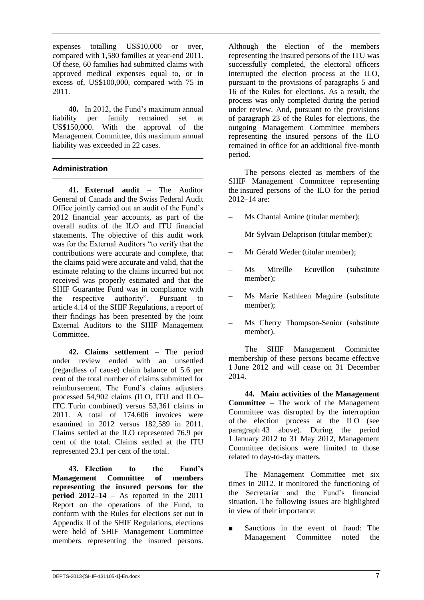expenses totalling US\$10,000 or over, compared with 1,580 families at year-end 2011. Of these, 60 families had submitted claims with approved medical expenses equal to, or in excess of, US\$100,000, compared with 75 in 2011.

**40.** In 2012, the Fund's maximum annual liability per family remained set at US\$150,000. With the approval of the Management Committee, this maximum annual liability was exceeded in 22 cases.

# **Administration**

**41. External audit** – The Auditor General of Canada and the Swiss Federal Audit Office jointly carried out an audit of the Fund's 2012 financial year accounts, as part of the overall audits of the ILO and ITU financial statements. The objective of this audit work was for the External Auditors "to verify that the contributions were accurate and complete, that the claims paid were accurate and valid, that the estimate relating to the claims incurred but not received was properly estimated and that the SHIF Guarantee Fund was in compliance with the respective authority". Pursuant to article 4.14 of the SHIF Regulations, a report of their findings has been presented by the joint External Auditors to the SHIF Management Committee.

**42. Claims settlement** – The period under review ended with an unsettled (regardless of cause) claim balance of 5.6 per cent of the total number of claims submitted for reimbursement. The Fund's claims adjusters processed 54,902 claims (ILO, ITU and ILO– ITC Turin combined) versus 53,361 claims in 2011. A total of 174,606 invoices were examined in 2012 versus 182,589 in 2011. Claims settled at the ILO represented 76.9 per cent of the total. Claims settled at the ITU represented 23.1 per cent of the total.

**43. Election to the Fund's Management Committee of members representing the insured persons for the period 2012–14** – As reported in the 2011 Report on the operations of the Fund, to conform with the Rules for elections set out in Appendix II of the SHIF Regulations, elections were held of SHIF Management Committee members representing the insured persons.

Although the election of the members representing the insured persons of the ITU was successfully completed, the electoral officers interrupted the election process at the ILO, pursuant to the provisions of paragraphs 5 and 16 of the Rules for elections. As a result, the process was only completed during the period under review. And, pursuant to the provisions of paragraph 23 of the Rules for elections, the outgoing Management Committee members representing the insured persons of the ILO remained in office for an additional five-month period.

The persons elected as members of the SHIF Management Committee representing the insured persons of the ILO for the period 2012–14 are:

- Ms Chantal Amine (titular member);
- Mr Sylvain Delaprison (titular member);
- Mr Gérald Weder (titular member);
- Ms Mireille Ecuvillon (substitute member);
- Ms Marie Kathleen Maguire (substitute member);
- Ms Cherry Thompson-Senior (substitute member).

The SHIF Management Committee membership of these persons became effective 1 June 2012 and will cease on 31 December 2014.

**44. Main activities of the Management Committee** – The work of the Management Committee was disrupted by the interruption of the election process at the ILO (see paragraph 43 above). During the period 1 January 2012 to 31 May 2012, Management Committee decisions were limited to those related to day-to-day matters.

The Management Committee met six times in 2012. It monitored the functioning of the Secretariat and the Fund's financial situation. The following issues are highlighted in view of their importance:

Sanctions in the event of fraud: The Management Committee noted the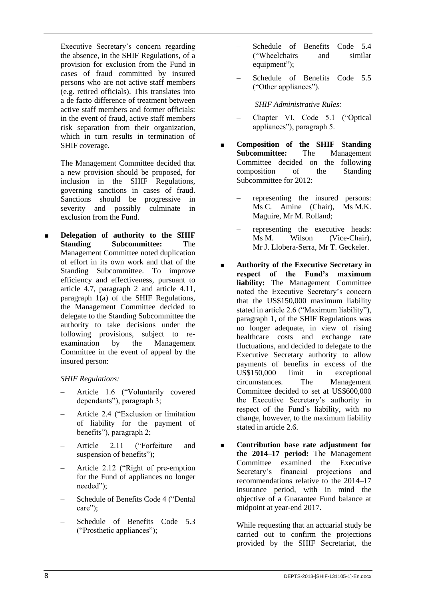Executive Secretary's concern regarding the absence, in the SHIF Regulations, of a provision for exclusion from the Fund in cases of fraud committed by insured persons who are not active staff members (e.g. retired officials). This translates into a de facto difference of treatment between active staff members and former officials: in the event of fraud, active staff members risk separation from their organization, which in turn results in termination of SHIF coverage.

The Management Committee decided that a new provision should be proposed, for inclusion in the SHIF Regulations, governing sanctions in cases of fraud. Sanctions should be progressive in severity and possibly culminate in exclusion from the Fund.

■ **Delegation of authority to the SHIF Standing Subcommittee:** The Management Committee noted duplication of effort in its own work and that of the Standing Subcommittee. To improve efficiency and effectiveness, pursuant to article 4.7, paragraph 2 and article 4.11, paragraph 1(a) of the SHIF Regulations, the Management Committee decided to delegate to the Standing Subcommittee the authority to take decisions under the following provisions, subject to re-<br>examination by the Management examination by the Management Committee in the event of appeal by the insured person:

# *SHIF Regulations:*

- Article 1.6 ("Voluntarily covered dependants"), paragraph 3;
- Article 2.4 ("Exclusion or limitation of liability for the payment of benefits"), paragraph 2;
- Article 2.11 ("Forfeiture and suspension of benefits");
- Article 2.12 ("Right of pre-emption for the Fund of appliances no longer needed");
- Schedule of Benefits Code 4 ("Dental care":
- Schedule of Benefits Code 5.3 ("Prosthetic appliances");
- Schedule of Benefits Code 5.4 ("Wheelchairs and similar equipment");
- Schedule of Benefits Code 5.5 ("Other appliances").

*SHIF Administrative Rules:*

- Chapter VI, Code 5.1 ("Optical appliances"), paragraph 5.
- **Composition of the SHIF Standing Subcommittee:** The Management Committee decided on the following composition of the Standing Subcommittee for 2012:
	- representing the insured persons: Ms C. Amine (Chair), Ms M.K. Maguire, Mr M. Rolland;
	- representing the executive heads: Ms M. Wilson (Vice-Chair), Mr J. Llobera-Serra, Mr T. Geckeler.
- **Authority of the Executive Secretary in respect of the Fund's maximum liability:** The Management Committee noted the Executive Secretary's concern that the US\$150,000 maximum liability stated in article 2.6 ("Maximum liability"), paragraph 1, of the SHIF Regulations was no longer adequate, in view of rising healthcare costs and exchange rate fluctuations, and decided to delegate to the Executive Secretary authority to allow payments of benefits in excess of the US\$150,000 limit in exceptional circumstances. The Management Committee decided to set at US\$600,000 the Executive Secretary's authority in respect of the Fund's liability, with no change, however, to the maximum liability stated in article 2.6.
- **Contribution base rate adjustment for the 2014–17 period:** The Management Committee examined the Executive Secretary's financial projections and recommendations relative to the 2014–17 insurance period, with in mind the objective of a Guarantee Fund balance at midpoint at year-end 2017.

While requesting that an actuarial study be carried out to confirm the projections provided by the SHIF Secretariat, the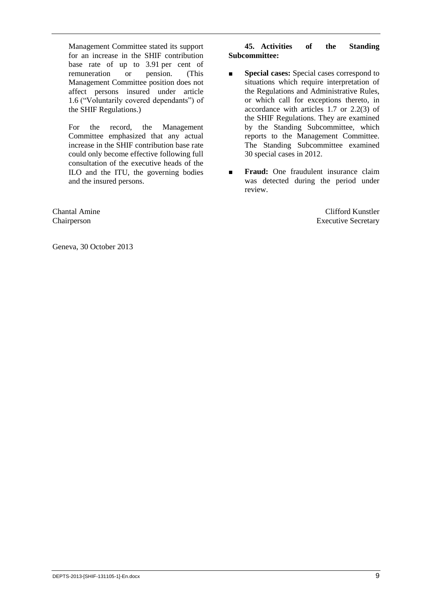Management Committee stated its support for an increase in the SHIF contribution base rate of up to 3.91 per cent of remuneration or pension. (This Management Committee position does not affect persons insured under article 1.6 ("Voluntarily covered dependants") of the SHIF Regulations.)

For the record, the Management Committee emphasized that any actual increase in the SHIF contribution base rate could only become effective following full consultation of the executive heads of the ILO and the ITU, the governing bodies and the insured persons.

Chantal Amine Chairperson

Geneva, 30 October 2013

## **45. Activities of the Standing Subcommittee:**

- **Special cases:** Special cases correspond to situations which require interpretation of the Regulations and Administrative Rules, or which call for exceptions thereto, in accordance with articles 1.7 or 2.2(3) of the SHIF Regulations. They are examined by the Standing Subcommittee, which reports to the Management Committee. The Standing Subcommittee examined 30 special cases in 2012.
- **Fraud:** One fraudulent insurance claim was detected during the period under review.

Clifford Kunstler Executive Secretary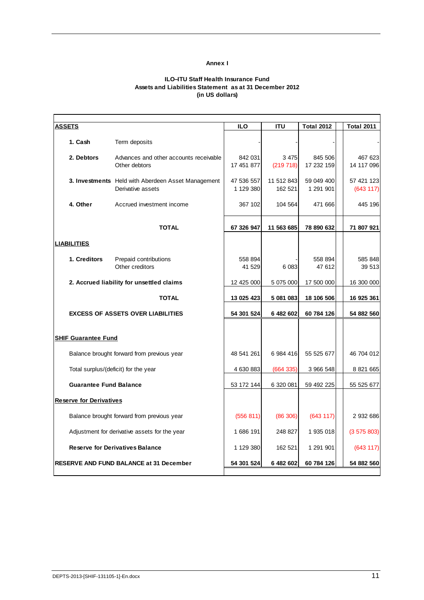#### **Annex I**

#### **ILO–ITU Staff Health Insurance Fund Assets and Liabilities Statement as at 31 December 2012 (in US dollars)**

| ASSETS                               |                                                                                | <b>ILO</b>              | <b>ITU</b>            | <b>Total 2012</b>       | <b>Total 2011</b>      |
|--------------------------------------|--------------------------------------------------------------------------------|-------------------------|-----------------------|-------------------------|------------------------|
| 1. Cash                              | Term deposits                                                                  |                         |                       |                         |                        |
| 2. Debtors                           | Advances and other accounts receivable<br>Other debtors                        | 842 031<br>17 451 877   | 3 4 7 5<br>(219 718)  | 845 506<br>17 232 159   | 467 623<br>14 117 096  |
|                                      | <b>3. Investments</b> Held with Aberdeen Asset Management<br>Derivative assets | 47 536 557<br>1 129 380 | 11 512 843<br>162 521 | 59 049 400<br>1 291 901 | 57 421 123<br>(643117) |
| 4. Other                             | Accrued investment income                                                      | 367 102                 | 104 564               | 471 666                 | 445 196                |
|                                      | <b>TOTAL</b>                                                                   | 67 326 947              | 11 563 685            | 78 890 632              | 71 807 921             |
| <b>LIABILITIES</b>                   |                                                                                |                         |                       |                         |                        |
| 1. Creditors                         | Prepaid contributions<br>Other creditors                                       | 558 894<br>41 529       | 6 0 83                | 558 894<br>47 612       | 585 848<br>39 513      |
|                                      | 2. Accrued liability for unsettled claims                                      | 12 425 000              | 5 075 000             | 17 500 000              | 16 300 000             |
|                                      | <b>TOTAL</b>                                                                   | 13 025 423              | 5 081 083             | 18 106 506              | 16 925 361             |
|                                      | <b>EXCESS OF ASSETS OVER LIABILITIES</b>                                       | 54 301 524              | 6 482 602             | 60 784 126              | 54 882 560             |
| <b>SHIF Guarantee Fund</b>           |                                                                                |                         |                       |                         |                        |
|                                      | Balance brought forward from previous year                                     | 48 541 261              | 6 984 416             | 55 525 677              | 46 704 012             |
| Total surplus/(deficit) for the year |                                                                                | 4 630 883               | (664 335)             | 3 966 548               | 8 8 21 6 6 5           |
| <b>Guarantee Fund Balance</b>        |                                                                                | 53 172 144              | 6 320 081             | 59 492 225              | 55 525 677             |
| <b>Reserve for Derivatives</b>       |                                                                                |                         |                       |                         |                        |
|                                      | Balance brought forward from previous year                                     | (556 811)               | (86 306)              | (643 117)               | 2 932 686              |
|                                      | Adjustment for derivative assets for the year                                  | 1686 191                | 248 827               | 1 935 018               | (3575803)              |
|                                      | <b>Reserve for Derivatives Balance</b>                                         | 1 129 380               | 162 521               | 1 291 901               | (643 117)              |
|                                      | <b>RESERVE AND FUND BALANCE at 31 December</b>                                 | 54 301 524              | 6 482 602             | 60 784 126              | 54 882 560             |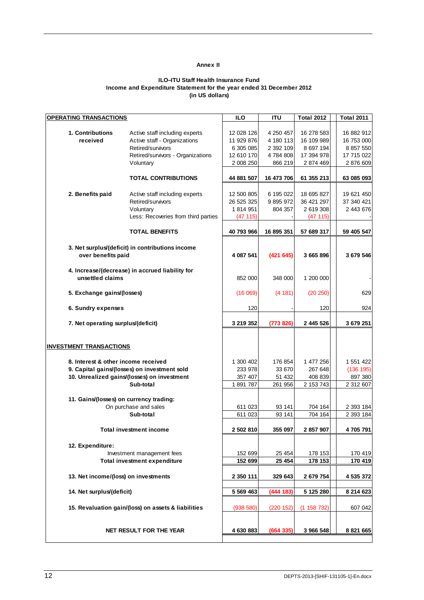#### **Annex II**

#### **ILO–ITU Staff Health Insurance Fund Income and Expenditure Statement for the year ended 31 December 2012 (in US dollars)**

| <b>OPERATING TRANSACTIONS</b>           |                                                     | <b>ILO</b> | <b>ITU</b> | <b>Total 2012</b> | <b>Total 2011</b> |
|-----------------------------------------|-----------------------------------------------------|------------|------------|-------------------|-------------------|
|                                         |                                                     |            |            |                   |                   |
| 1. Contributions                        | Active staff including experts                      | 12 028 126 | 4 250 457  | 16 278 583        | 16 882 912        |
| received                                | Active staff - Organizations                        | 11 929 876 | 4 180 113  | 16 109 989        | 16 753 000        |
|                                         | Retired/survivors                                   | 6 305 085  | 2 392 109  | 8 697 194         | 8 857 550         |
|                                         | Retired/survivors - Organizations                   | 12 610 170 | 4784808    | 17 394 978        | 17 715 022        |
|                                         | Voluntary                                           | 2 008 250  | 866 219    | 2 874 469         | 2 876 609         |
|                                         |                                                     |            |            |                   |                   |
|                                         | <b>TOTAL CONTRIBUTIONS</b>                          | 44 881 507 | 16 473 706 | 61 355 213        | 63 085 093        |
|                                         |                                                     |            |            |                   |                   |
|                                         |                                                     | 12 500 805 | 6 195 022  | 18 695 827        | 19 621 450        |
| 2. Benefits paid                        | Active staff including experts                      |            |            |                   |                   |
|                                         | Retired/survivors                                   | 26 525 325 | 9 895 972  | 36 421 297        | 37 340 421        |
|                                         | Voluntary                                           | 1 814 951  | 804 357    | 2 619 308         | 2 443 676         |
|                                         | Less: Recoveries from third parties                 | (47 115)   |            | (47115)           |                   |
|                                         |                                                     |            |            |                   |                   |
|                                         | <b>TOTAL BENEFITS</b>                               | 40 793 966 | 16 895 351 | 57 689 317        | 59 405 547        |
|                                         |                                                     |            |            |                   |                   |
|                                         | 3. Net surplus/(deficit) in contributions income    |            |            |                   |                   |
| over benefits paid                      |                                                     | 4 087 541  | (421645)   | 3 665 896         | 3 679 546         |
|                                         |                                                     |            |            |                   |                   |
|                                         | 4. Increase/(decrease) in accrued liability for     |            |            |                   |                   |
| unsettled claims                        |                                                     | 852 000    | 348 000    | 1 200 000         |                   |
|                                         |                                                     |            |            |                   |                   |
| 5. Exchange gains/(losses)              |                                                     | (16069)    | (4 181)    | (20 250)          | 629               |
|                                         |                                                     |            |            |                   |                   |
| 6. Sundry expenses                      |                                                     | 120        |            | 120               | 924               |
|                                         |                                                     |            |            |                   |                   |
| 7. Net operating surplus/(deficit)      |                                                     | 3 219 352  | (773 826)  | 2 445 526         | 3 679 251         |
|                                         |                                                     |            |            |                   |                   |
|                                         |                                                     |            |            |                   |                   |
|                                         |                                                     |            |            |                   |                   |
| <b>INVESTMENT TRANSACTIONS</b>          |                                                     |            |            |                   |                   |
|                                         |                                                     |            |            |                   |                   |
| 8. Interest & other income received     |                                                     | 1 300 402  | 176 854    | 1 477 256         | 1 551 422         |
|                                         | 9. Capital gains/(losses) on investment sold        | 233 978    | 33 670     | 267 648           | (136 195)         |
|                                         | 10. Unrealized gains/(losses) on investment         | 357 407    | 51 432     | 408 839           | 897 380           |
|                                         | Sub-total                                           | 1891787    | 261 956    | 2 153 743         | 2 312 607         |
|                                         |                                                     |            |            |                   |                   |
| 11. Gains/(losses) on currency trading: |                                                     |            |            |                   |                   |
|                                         | On purchase and sales                               | 611 023    | 93 141     | 704 164           | 2 393 184         |
|                                         | Sub-total                                           | 611 023    | 93 141     | 704 164           | 2 393 184         |
|                                         |                                                     |            |            |                   |                   |
|                                         | <b>Total investment income</b>                      | 2 502 810  | 355 097    | 2 857 907         | 4 705 791         |
|                                         |                                                     |            |            |                   |                   |
| 12. Expenditure:                        |                                                     |            |            |                   |                   |
|                                         | Investment management fees                          | 152 699    | 25 4 54    | 178 153           | 170 419           |
|                                         | <b>Total investment expenditure</b>                 | 152 699    | 25 4 54    | 178 153           | 170 419           |
|                                         |                                                     |            |            |                   |                   |
|                                         |                                                     |            |            |                   |                   |
| 13. Net income/(loss) on investments    |                                                     | 2 350 111  | 329 643    | 2 679 754         | 4 535 372         |
|                                         |                                                     |            |            |                   |                   |
| 14. Net surplus/(deficit)               |                                                     | 5 569 463  | (444 183)  | 5 125 280         | 8 214 623         |
|                                         |                                                     |            |            |                   |                   |
|                                         | 15. Revaluation gain/(loss) on assets & liabilities | (938 580)  | (220 152)  | (1158732)         | 607 042           |
|                                         |                                                     |            |            |                   |                   |
|                                         |                                                     |            |            |                   |                   |
|                                         | NET RESULT FOR THE YEAR                             | 4 630 883  | (664 335)  | 3 966 548         | 8 821 665         |
|                                         |                                                     |            |            |                   |                   |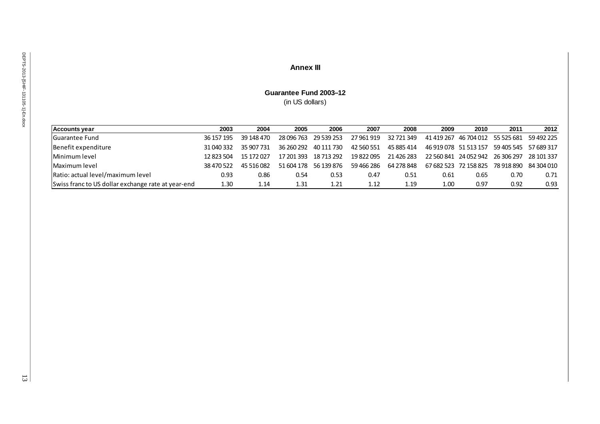# **Annex III**

# **Guarantee Fund 2003–12** (in US dollars)

| <b>Accounts vear</b>                               | 2003       | 2004       | 2005       | 2006                  | 2007       | 2008       | 2009 | 2010                                        | 2011 | 2012       |
|----------------------------------------------------|------------|------------|------------|-----------------------|------------|------------|------|---------------------------------------------|------|------------|
| <b>Guarantee Fund</b>                              | 36 157 195 | 39 148 470 |            | 28 096 763 29 539 253 | 27 961 919 | 32 721 349 |      | 41 419 267 46 704 012 55 525 681 59 492 225 |      |            |
| Benefit expenditure                                | 31 040 332 | 35 907 731 | 36 260 292 | 40 111 730            | 42 560 551 | 45 885 414 |      | 46 919 078 51 513 157 59 405 545 57 689 317 |      |            |
| Minimum level                                      | 12 823 504 | 15 172 027 |            | 17 201 393 18 713 292 | 19 822 095 | 21 426 283 |      | 22 560 841 24 052 942 26 306 297            |      | 28 101 337 |
| Maximum level                                      | 38 470 522 | 45 516 082 |            | 51 604 178 56 139 876 | 59 466 286 | 64 278 848 |      | 67 682 523 72 158 825 78 918 890 84 304 010 |      |            |
| Ratio: actual level/maximum level                  | 0.93       | 0.86       | 0.54       | 0.53                  | 0.47       | 0.51       | 0.61 | 0.65                                        | 0.70 | 0.71       |
| Swiss franc to US dollar exchange rate at year-end | 1.30       | 1.14       | 1.31       | 1.21                  | 1.12       | 1.19       | 1.00 | 0.97                                        | 0.92 | 0.93       |

13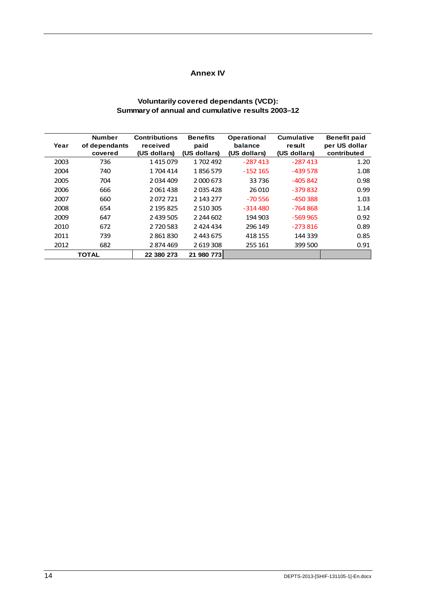## **Annex IV**

## **Voluntarily covered dependants (VCD): Summary of annual and cumulative results 2003–12**

| Year | <b>Number</b><br>of dependants<br>covered | <b>Contributions</b><br>received<br>(US dollars) | <b>Benefits</b><br>paid<br>(US dollars) | Operational<br>balance<br>(US dollars) | <b>Cumulative</b><br>result<br>(US dollars) | <b>Benefit paid</b><br>per US dollar<br>contributed |
|------|-------------------------------------------|--------------------------------------------------|-----------------------------------------|----------------------------------------|---------------------------------------------|-----------------------------------------------------|
| 2003 | 736                                       | 1415079                                          | 1702492                                 | $-287413$                              | $-287413$                                   | 1.20                                                |
| 2004 | 740                                       | 1 704 414                                        | 1856579                                 | $-152165$                              | $-439578$                                   | 1.08                                                |
| 2005 | 704                                       | 2034409                                          | 2 000 673                               | 33736                                  | $-405842$                                   | 0.98                                                |
| 2006 | 666                                       | 2061438                                          | 2035428                                 | 26 010                                 | $-379832$                                   | 0.99                                                |
| 2007 | 660                                       | 2072721                                          | 2 143 277                               | $-70.556$                              | $-450388$                                   | 1.03                                                |
| 2008 | 654                                       | 2 195 825                                        | 2 510 305                               | $-314480$                              | $-764868$                                   | 1.14                                                |
| 2009 | 647                                       | 2 439 505                                        | 2 244 602                               | 194 903                                | $-569965$                                   | 0.92                                                |
| 2010 | 672                                       | 2 7 2 0 5 8 3                                    | 2 424 434                               | 296 149                                | $-273816$                                   | 0.89                                                |
| 2011 | 739                                       | 2861830                                          | 2 443 675                               | 418 155                                | 144 339                                     | 0.85                                                |
| 2012 | 682                                       | 2874469                                          | 2 619 308                               | 255 161                                | 399 500                                     | 0.91                                                |
|      | <b>TOTAL</b>                              | 22 380 273                                       | 21 980 773                              |                                        |                                             |                                                     |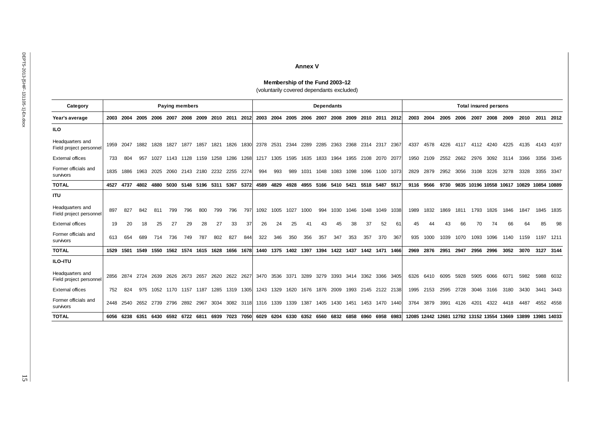#### **Annex V**

**Membership of the Fund 2003–12** (voluntarily covered dependants excluded)

| Category                                    |      |      |      |           | <b>Paying members</b>         |      |      |      |           |           | <b>Dependants</b> |      |                |      |      |                |      |      |           | <b>Total insured persons</b> |      |      |      |      |      |                                           |      |                   |             |           |
|---------------------------------------------|------|------|------|-----------|-------------------------------|------|------|------|-----------|-----------|-------------------|------|----------------|------|------|----------------|------|------|-----------|------------------------------|------|------|------|------|------|-------------------------------------------|------|-------------------|-------------|-----------|
| Year's average                              | 2003 | 2004 | 2005 | 2006      | 2007                          | 2008 | 2009 |      | 2010 2011 | 2012      | 2003              | 2004 | 2005           | 2006 | 2007 | 2008           | 2009 | 2010 | 2011      | 2012                         | 2003 | 2004 | 2005 | 2006 | 2007 | 2008                                      | 2009 | 2010              |             | 2011 2012 |
| ILO                                         |      |      |      |           |                               |      |      |      |           |           |                   |      |                |      |      |                |      |      |           |                              |      |      |      |      |      |                                           |      |                   |             |           |
| Headquarters and<br>Field project personnel | 1959 | 2047 | 1882 | 1828      | 1827                          | 1877 | 1857 | 1821 | 1826      | 1830      | 2378              | 2531 | 2344           | 2289 | 2285 | 2363           | 2368 | 2314 | 2317      | 2367                         | 4337 | 4578 | 4226 | 4117 | 4112 | 4240                                      | 4225 | 4135              |             | 4143 4197 |
| <b>External offices</b>                     | 733  | 804  | 957  | 1027      | 1143                          | 1128 | 1159 | 1258 | 1286      | 1268      | 1217              | 1305 | 1595           | 1635 | 1833 | 1964           | 1955 | 2108 | 2070      | 2077                         | 1950 | 2109 | 2552 | 2662 | 2976 | 3092                                      | 3114 | 3366              |             | 3356 3345 |
| Former officials and<br>survivors           | 1835 | 1886 | 1963 | 2025      | 2060                          | 2143 | 2180 | 2232 | 2255      | 2274      | 994               | 993  | 989            | 1031 | 1048 | 1083           | 1098 | 1096 | 1100      | 1073                         | 2829 | 2879 | 2952 | 3056 | 3108 | 3226                                      | 3278 | 3328              | 3355 3347   |           |
| <b>TOTAL</b>                                | 4527 | 4737 | 4802 | 4880      | 5030                          | 5148 | 5196 | 5311 | 5367      | 5372      | 4589              | 4829 | 4928           | 4955 | 5166 | 5410           | 5421 | 5518 | 5487      | 5517                         | 9116 | 9566 | 9730 |      |      | 9835 10196 10558 10617                    |      | 10829             | 10854 10889 |           |
| <b>ITU</b>                                  |      |      |      |           |                               |      |      |      |           |           |                   |      |                |      |      |                |      |      |           |                              |      |      |      |      |      |                                           |      |                   |             |           |
| Headquarters and<br>Field project personnel | 897  | 827  | 842  | 811       | 799                           | 796  | 800  | 799  | 796       | 797       | 1092              | 1005 | 1027           | 1000 | 994  | 1030           | 1046 | 1048 | 1049      | 1038                         | 1989 | 1832 | 1869 | 1811 | 1793 | 1826                                      | 1846 | 1847              | 1845        | 1835      |
| <b>External offices</b>                     | 19   | 20   | 18   | 25        | 27                            | 29   | 28   | 27   | 33        | 37        | 26                | 24   | 25             | 41   | 43   | 45             | 38   | 37   | 52        | 61                           | 45   | 44   | 43   | 66   | 70   | 74                                        | 66   | 64                | 85          | 98        |
| Former officials and<br>survivors           | 613  | 654  | 689  | 714       | 736                           | 749  | 787  | 802  | 827       | 844       | 322               | 346  | 350            | 356  | 357  | 347            | 353  | 357  | 370       | 367                          | 935  | 1000 | 1039 | 1070 | 1093 | 1096                                      | 1140 | 1159              | 1197        | 1211      |
| <b>TOTAL</b>                                | 1529 | 1501 | 1549 |           | 1550 1562 1574 1615 1628 1656 |      |      |      |           | 1678      |                   |      | 1440 1375 1402 | 1397 |      | 1394 1422 1437 |      |      | 1442 1471 | 1466                         | 2969 | 2876 | 2951 | 2947 | 2956 | 2996                                      | 3052 | 3070              |             | 3127 3144 |
| ILO-ITU                                     |      |      |      |           |                               |      |      |      |           |           |                   |      |                |      |      |                |      |      |           |                              |      |      |      |      |      |                                           |      |                   |             |           |
| Headquarters and<br>Field project personnel | 2856 | 2874 | 2724 | 2639      | 2626                          | 2673 | 2657 | 2620 | 2622      | 2627      | 3470              | 3536 | 3371           | 3289 | 3279 | 3393           | 3414 | 3362 | 3366      | 3405                         | 6326 | 6410 | 6095 | 5928 | 5905 | 6066                                      | 6071 | 5982              | 5988        | 6032      |
| <b>External offices</b>                     | 752  | 824  | 975  | 1052      | 1170                          | 1157 | 1187 | 1285 | 1319      | 1305      | 1243              | 1329 | 1620           | 1676 | 1876 | 2009           | 1993 | 2145 | 2122 2138 |                              | 1995 | 2153 | 2595 | 2728 | 3046 | 3166                                      | 3180 | 3430              | 3441        | 3443      |
| Former officials and<br>survivors           | 2448 | 2540 |      | 2652 2739 | 2796                          | 2892 | 2967 | 3034 |           | 3082 3118 | 1316              | 1339 | 1339           | 1387 | 1405 | 1430           | 1451 | 1453 | 1470      | 1440                         | 3764 | 3879 | 3991 | 4126 | 4201 | 4322                                      | 4418 | 4487              |             | 4552 4558 |
| <b>TOTAL</b>                                | 6056 | 6238 | 6351 | 6430      | 6592                          | 6722 | 6811 | 6939 | 7023      | 7050      | 6029              | 6204 | 6330           | 6352 | 6560 | 6832           | 6858 | 6960 | 6958      | 6983                         |      |      |      |      |      | 12085 12442 12681 12782 13152 13554 13669 |      | 13899 13981 14033 |             |           |